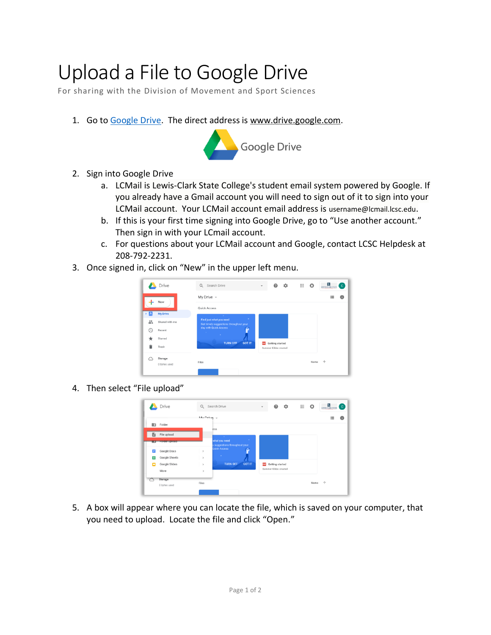## Upload a File to Google Drive

For sharing with the Division of Movement and Sport Sciences

1. Go to [Google Drive.](http://www.drive.google.com/) The direct address is www.drive.google.com.



- 2. Sign into Google Drive
	- a. LCMail is Lewis-Clark State College's student email system powered by Google. If you already have a Gmail account you will need to sign out of it to sign into your LCMail account. Your LCMail account email address is username@lcmail.lcsc.edu.
	- b. If this is your first time signing into Google Drive, go to "Use another account." Then sign in with your LCmail account.
	- c. For questions about your LCMail account and Google, contact LCSC Helpdesk at 208-792-2231.
- 3. Once signed in, click on "New" in the upper left menu.

| Q Search Drive                                                         | $\overline{\phantom{a}}$              | ≎ | ₩                                            | $\circ$ | <b>E</b><br>LEWIS CLAIR STATE | $\alpha$ |
|------------------------------------------------------------------------|---------------------------------------|---|----------------------------------------------|---------|-------------------------------|----------|
| My Drive $-$                                                           |                                       |   |                                              |         | 疆                             | 6        |
| <b>Quick Access</b>                                                    |                                       |   |                                              |         |                               |          |
| ×<br>Find just what you need<br>Get timely suggestions throughout your |                                       |   |                                              |         |                               |          |
| <b>STATE</b><br>m.                                                     |                                       |   |                                              |         |                               |          |
| <b>TURN OFF</b><br><b>GOT IT</b>                                       | 282                                   |   |                                              |         |                               |          |
| Files                                                                  |                                       |   |                                              | Name    | 个                             |          |
|                                                                        | <b>STATE</b><br>day with Quick Access |   | 0<br>Getting started<br>Summer Kibbe created |         |                               |          |

4. Then select "File upload"

|          | Drive                | Q                     | Search Drive                                       | $\overline{\phantom{a}}$ | $\boldsymbol{Q}$     | ٠ | ⊞ | $\circ$ | <b>E</b><br>LEWIS CLAIR STATE<br>$\bullet$ |
|----------|----------------------|-----------------------|----------------------------------------------------|--------------------------|----------------------|---|---|---------|--------------------------------------------|
|          |                      | $M_{11}$ Dring $\psi$ |                                                    |                          |                      |   |   |         | 這                                          |
| <b>R</b> | Folder               |                       | ess                                                |                          |                      |   |   |         |                                            |
| Ы        | File upload          |                       | <b>STATE</b>                                       |                          |                      |   |   |         |                                            |
|          | <b>Polder upload</b> |                       | ×.<br>what you need<br>suggestions throughout your |                          |                      |   |   |         |                                            |
| о        | Google Docs          | $\,$                  | <b>Quick Access</b>                                |                          |                      |   |   |         |                                            |
| $\Box$   | <b>Google Sheets</b> | $\,$                  | ×                                                  |                          |                      |   |   |         |                                            |
| o        | Google Slides        | $\mathcal{P}$         | <b>GOT IT</b><br><b>TURN OFF</b>                   | POF                      | Getting started      |   |   |         |                                            |
|          | More                 | $\mathcal{P}$         |                                                    |                          | Summer Kibbe created |   |   |         |                                            |
|          | Storage              | Files                 |                                                    |                          |                      |   |   | Name    | $\uparrow$                                 |
|          | 0 bytes used         |                       |                                                    |                          |                      |   |   |         |                                            |

5. A box will appear where you can locate the file, which is saved on your computer, that you need to upload. Locate the file and click "Open."